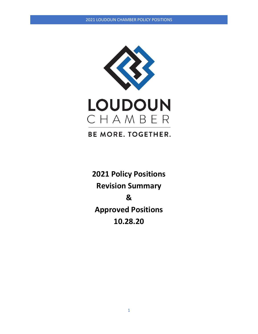

**BE MORE. TOGETHER.** 

**2021 Policy Positions Revision Summary & Approved Positions 10.28.20**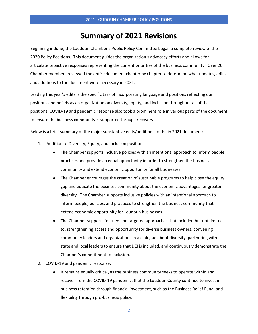# **Summary of 2021 Revisions**

Beginning in June, the Loudoun Chamber's Public Policy Committee began a complete review of the 2020 Policy Positions. This document guides the organization's advocacy efforts and allows for articulate proactive responses representing the current priorities of the business community. Over 20 Chamber members reviewed the entire document chapter by chapter to determine what updates, edits, and additions to the document were necessary in 2021.

Leading this year's edits is the specific task of incorporating language and positions reflecting our positions and beliefs as an organization on diversity, equity, and inclusion throughout all of the positions. COVID-19 and pandemic response also took a prominent role in various parts of the document to ensure the business community is supported through recovery.

Below is a brief summary of the major substantive edits/additions to the in 2021 document:

- 1. Addition of Diversity, Equity, and Inclusion positions:
	- The Chamber supports inclusive policies with an intentional approach to inform people, practices and provide an equal opportunity in order to strengthen the business community and extend economic opportunity for all businesses.
	- The Chamber encourages the creation of sustainable programs to help close the equity gap and educate the business community about the economic advantages for greater diversity. The Chamber supports inclusive policies with an intentional approach to inform people, policies, and practices to strengthen the business community that extend economic opportunity for Loudoun businesses.
	- The Chamber supports focused and targeted approaches that included but not limited to, strengthening access and opportunity for diverse business owners, convening community leaders and organizations in a dialogue about diversity, partnering with state and local leaders to ensure that DEI is included, and continuously demonstrate the Chamber's commitment to inclusion.
- 2. COVID-19 and pandemic response:
	- It remains equally critical, as the business community seeks to operate within and recover from the COVID-19 pandemic, that the Loudoun County continue to invest in business retention through financial investment, such as the Business Relief Fund, and flexibility through pro-business policy.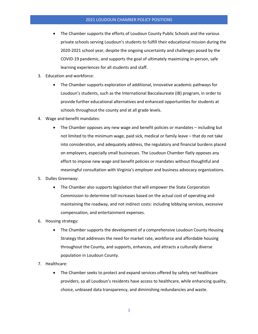- The Chamber supports the efforts of Loudoun County Public Schools and the various private schools serving Loudoun's students to fulfill their educational mission during the 2020-2021 school year, despite the ongoing uncertainty and challenges posed by the COVID-19 pandemic, and supports the goal of ultimately maximizing in-person, safe learning experiences for all students and staff.
- 3. Education and workforce:
	- The Chamber supports exploration of additional, innovative academic pathways for Loudoun's students, such as the International Baccalaureate (IB) program, in order to provide further educational alternatives and enhanced opportunities for students at schools throughout the county and at all grade levels.
- 4. Wage and benefit mandates:
	- The Chamber opposes any new wage and benefit policies or mandates including but not limited to the minimum wage, paid sick, medical or family leave – that do not take into consideration, and adequately address, the regulatory and financial burdens placed on employers, especially small businesses. The Loudoun Chamber flatly opposes any effort to impose new wage and benefit policies or mandates without thoughtful and meaningful consultation with Virginia's employer and business advocacy organizations.
- 5. Dulles Greenway:
	- The Chamber also supports legislation that will empower the State Corporation Commission to determine toll increases based on the actual cost of operating and maintaining the roadway, and not indirect costs: including lobbying services, excessive compensation, and entertainment expenses.
- 6. Housing strategy:
	- The Chamber supports the development of a comprehensive Loudoun County Housing Strategy that addresses the need for market rate, workforce and affordable housing throughout the County, and supports, enhances, and attracts a culturally diverse population in Loudoun County.
- 7. Healthcare:
	- The Chamber seeks to protect and expand services offered by safety net healthcare providers, so all Loudoun's residents have access to healthcare, while enhancing quality, choice, unbiased data transparency, and diminishing redundancies and waste.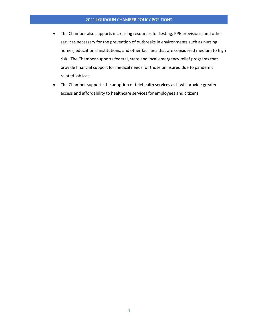- The Chamber also supports increasing resources for testing, PPE provisions, and other services necessary for the prevention of outbreaks in environments such as nursing homes, educational institutions, and other facilities that are considered medium to high risk. The Chamber supports federal, state and local emergency relief programs that provide financial support for medical needs for those uninsured due to pandemic related job loss.
- The Chamber supports the adoption of telehealth services as it will provide greater access and affordability to healthcare services for employees and citizens.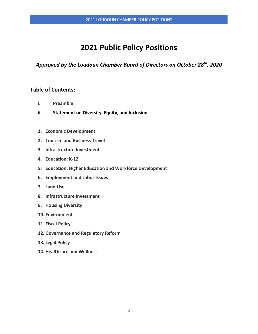# **2021 Public Policy Positions**

*Approved by the Loudoun Chamber Board of Directors on October 28th, 2020*

# **Table of Contents:**

- **i. Preamble**
- **ii. Statement on Diversity, Equity, and Inclusion**
- **1. Economic Development**
- **2. Tourism and Business Travel**
- **3. Infrastructure Investment**
- **4. Education: K-12**
- **5. Education: Higher Education and Workforce Development**
- **6. Employment and Labor Issues**
- **7. Land Use**
- **8. Infrastructure Investment**
- **9. Housing Diversity**
- **10. Environment**
- **11. Fiscal Policy**
- **12. Governance and Regulatory Reform**
- **13. Legal Policy**
- **14. Healthcare and Wellness**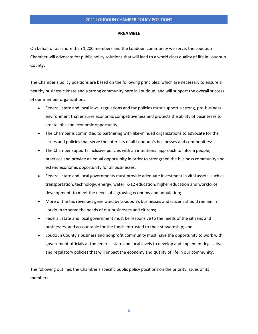#### **PREAMBLE**

On behalf of our more than 1,200 members and the Loudoun community we serve, the Loudoun Chamber will advocate for public policy solutions that will lead to a world class quality of life in Loudoun County.

The Chamber's policy positions are based on the following principles, which are necessary to ensure a healthy business climate and a strong community here in Loudoun, and will support the overall success of our member organizations:

- Federal, state and local laws, regulations and tax policies must support a strong, pro-business environment that ensures economic competitiveness and protects the ability of businesses to create jobs and economic opportunity;
- The Chamber is committed to partnering with like-minded organizations to advocate for the issues and policies that serve the interests of all Loudoun's businesses and communities;
- The Chamber supports inclusive policies with an intentional approach to inform people, practices and provide an equal opportunity in order to strengthen the business community and extend economic opportunity for all businesses.
- Federal, state and local governments must provide adequate investment in vital assets, such as transportation, technology, energy, water, K-12 education, higher education and workforce development, to meet the needs of a growing economy and population;
- More of the tax revenues generated by Loudoun's businesses and citizens should remain in Loudoun to serve the needs of our businesses and citizens;
- Federal, state and local government must be responsive to the needs of the citizens and businesses, and accountable for the funds entrusted to their stewardship; and
- Loudoun County's business and nonprofit community must have the opportunity to work with government officials at the federal, state and local levels to develop and implement legislative and regulatory policies that will impact the economy and quality of life in our community.

The following outlines the Chamber's specific public policy positions on the priority issues of its members.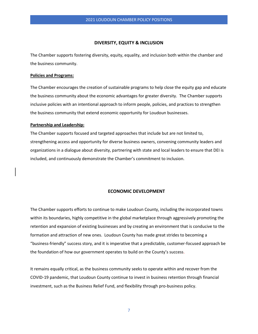# **DIVERSITY, EQUITY & INCLUSION**

The Chamber supports fostering diversity, equity, equality, and inclusion both within the chamber and the business community.

## **Policies and Programs:**

The Chamber encourages the creation of sustainable programs to help close the equity gap and educate the business community about the economic advantages for greater diversity. The Chamber supports inclusive policies with an intentional approach to inform people, policies, and practices to strengthen the business community that extend economic opportunity for Loudoun businesses.

# **Partnership and Leadership:**

The Chamber supports focused and targeted approaches that include but are not limited to, strengthening access and opportunity for diverse business owners, convening community leaders and organizations in a dialogue about diversity, partnering with state and local leaders to ensure that DEI is included, and continuously demonstrate the Chamber's commitment to inclusion.

## **ECONOMIC DEVELOPMENT**

The Chamber supports efforts to continue to make Loudoun County, including the incorporated towns within its boundaries, highly competitive in the global marketplace through aggressively promoting the retention and expansion of existing businesses and by creating an environment that is conducive to the formation and attraction of new ones. Loudoun County has made great strides to becoming a "business-friendly" success story, and it is imperative that a predictable, customer-focused approach be the foundation of how our government operates to build on the County's success.

It remains equally critical, as the business community seeks to operate within and recover from the COVID-19 pandemic, that Loudoun County continue to invest in business retention through financial investment, such as the Business Relief Fund, and flexibility through pro-business policy.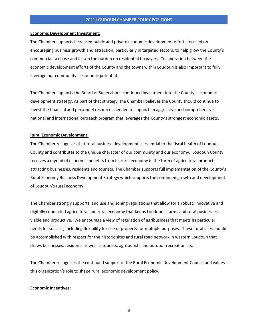#### **Economic Development Investment:**

The Chamber supports increased public and private economic development efforts focused on encouraging business growth and attraction, particularly in targeted sectors, to help grow the County's commercial tax base and lessen the burden on residential taxpayers. Collaboration between the economic development efforts of the County and the towns within Loudoun is also important to fully leverage our community's economic potential.

The Chamber supports the Board of Supervisors' continued investment into the County's economic development strategy. As part of that strategy, the Chamber believes the County should continue to invest the financial and personnel resources needed to support an aggressive and comprehensive national and international outreach program that leverages the County's strongest economic assets.

#### **Rural Economic Development:**

The Chamber recognizes that rural business development is essential to the fiscal health of Loudoun County and contributes to the unique character of our community and our economy. Loudoun County receives a myriad of economic benefits from its rural economy in the form of agricultural products attracting businesses, residents and tourists. The Chamber supports full implementation of the County's Rural Economy Business Development Strategy which supports the continued growth and development of Loudoun's rural economy.

The Chamber strongly supports land use and zoning regulations that allow for a robust, innovative and digitally connected agricultural and rural economy that keeps Loudoun's farms and rural businesses viable and productive. We encourage a view of regulation of agribusiness that meets its particular needs for success, including flexibility for use of property for multiple purposes. These rural uses should be accomplished with respect for the historic sites and rural road network in western Loudoun that draws businesses, residents as well as tourists, agritourists and outdoor recreationists.

The Chamber recognizes the continued support of the Rural Economic Development Council and values this organization's role to shape rural economic development policy.

#### **Economic Incentives:**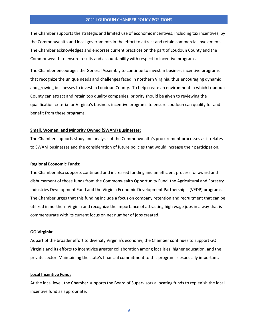The Chamber supports the strategic and limited use of economic incentives, including tax incentives, by the Commonwealth and local governments in the effort to attract and retain commercial investment. The Chamber acknowledges and endorses current practices on the part of Loudoun County and the Commonwealth to ensure results and accountability with respect to incentive programs.

The Chamber encourages the General Assembly to continue to invest in business incentive programs that recognize the unique needs and challenges faced in northern Virginia, thus encouraging dynamic and growing businesses to invest in Loudoun County. To help create an environment in which Loudoun County can attract and retain top quality companies, priority should be given to reviewing the qualification criteria for Virginia's business incentive programs to ensure Loudoun can qualify for and benefit from these programs.

#### **Small, Women, and Minority Owned (SWAM) Businesses:**

The Chamber supports study and analysis of the Commonwealth's procurement processes as it relates to SWAM businesses and the consideration of future policies that would increase their participation.

## **Regional Economic Funds:**

The Chamber also supports continued and increased funding and an efficient process for award and disbursement of those funds from the Commonwealth Opportunity Fund, the Agricultural and Forestry Industries Development Fund and the Virginia Economic Development Partnership's (VEDP) programs. The Chamber urges that this funding include a focus on company retention and recruitment that can be utilized in northern Virginia and recognize the importance of attracting high wage jobs in a way that is commensurate with its current focus on net number of jobs created.

# **GO Virginia:**

As part of the broader effort to diversify Virginia's economy, the Chamber continues to support GO Virginia and its efforts to incentivize greater collaboration among localities, higher education, and the private sector. Maintaining the state's financial commitment to this program is especially important.

#### **Local Incentive Fund:**

At the local level, the Chamber supports the Board of Supervisors allocating funds to replenish the local incentive fund as appropriate.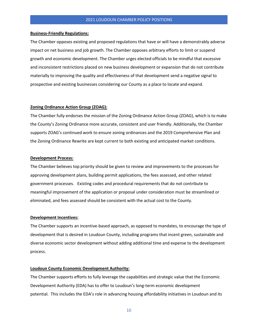#### **Business-Friendly Regulations:**

The Chamber opposes existing and proposed regulations that have or will have a demonstrably adverse impact on net business and job growth. The Chamber opposes arbitrary efforts to limit or suspend growth and economic development. The Chamber urges elected officials to be mindful that excessive and inconsistent restrictions placed on new business development or expansion that do not contribute materially to improving the quality and effectiveness of that development send a negative signal to prospective and existing businesses considering our County as a place to locate and expand.

## **Zoning Ordinance Action Group (ZOAG):**

The Chamber fully endorses the mission of the Zoning Ordinance Action Group (ZOAG), which is to make the County's Zoning Ordinance more accurate, consistent and user friendly. Additionally, the Chamber supports ZOAG's continued work to ensure zoning ordinances and the 2019 Comprehensive Plan and the Zoning Ordinance Rewrite are kept current to both existing and anticipated market conditions.

#### **Development Process:**

The Chamber believes top priority should be given to review and improvements to the processes for approving development plans, building permit applications, the fees assessed, and other related government processes. Existing codes and procedural requirements that do not contribute to meaningful improvement of the application or proposal under consideration must be streamlined or eliminated, and fees assessed should be consistent with the actual cost to the County.

## **Development Incentives:**

The Chamber supports an incentive-based approach, as opposed to mandates, to encourage the type of development that is desired in Loudoun County, including programs that incent green, sustainable and diverse economic sector development without adding additional time and expense to the development process.

# **Loudoun County Economic Development Authority:**

The Chamber supports efforts to fully leverage the capabilities and strategic value that the Economic Development Authority (EDA) has to offer to Loudoun's long-term economic development potential. This includes the EDA's role in advancing housing affordability initiatives in Loudoun and its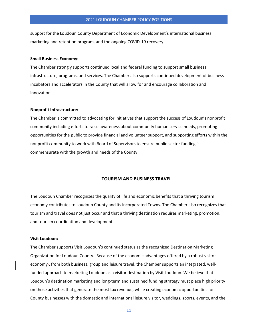support for the Loudoun County Department of Economic Development's international business marketing and retention program, and the ongoing COVID-19 recovery.

#### **Small Business Economy:**

The Chamber strongly supports continued local and federal funding to support small business infrastructure, programs, and services. The Chamber also supports continued development of business incubators and accelerators in the County that will allow for and encourage collaboration and innovation.

# **Nonprofit Infrastructure:**

The Chamber is committed to advocating for initiatives that support the success of Loudoun's nonprofit community including efforts to raise awareness about community human service needs, promoting opportunities for the public to provide financial and volunteer support, and supporting efforts within the nonprofit community to work with Board of Supervisors to ensure public-sector funding is commensurate with the growth and needs of the County.

# **TOURISM AND BUSINESS TRAVEL**

The Loudoun Chamber recognizes the quality of life and economic benefits that a thriving tourism economy contributes to Loudoun County and its incorporated Towns. The Chamber also recognizes that tourism and travel does not just occur and that a thriving destination requires marketing, promotion, and tourism coordination and development.

## **Visit Loudoun:**

The Chamber supports Visit Loudoun's continued status as the recognized Destination Marketing Organization for Loudoun County. Because of the economic advantages offered by a robust visitor economy-, from both business, group and leisure travel, the Chamber supports an integrated, wellfunded approach to marketing Loudoun as a visitor destination by Visit Loudoun. We believe that Loudoun's destination marketing and long-term and sustained funding strategy must place high priority on those activities that generate the most tax revenue, while creating economic opportunities for County businesses with the domestic and international leisure visitor, weddings, sports, events, and the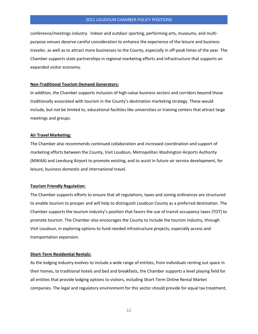conference/meetings industry. Indoor and outdoor sporting, performing arts, museums, and multipurpose venues deserve careful consideration to enhance the experience of the leisure and business traveler, as well as to attract more businesses to the County, especially in off-peak times of the year. The Chamber supports state partnerships in regional marketing efforts and infrastructure that supports an expanded visitor economy.

#### **Non-Traditional Tourism Demand Generators:**

In addition, the Chamber supports inclusion of high-value business sectors and corridors beyond those traditionally associated with tourism in the County's destination marketing strategy. These would include, but not be limited to, educational facilities like universities or training centers that attract large meetings and groups.

#### **Air Travel Marketing:**

The Chamber also recommends continued collaboration and increased coordination and support of marketing efforts between the County, Visit Loudoun, Metropolitan Washington Airports Authority (MWAA) and Leesburg Airport to promote existing, and to assist in future-air service development, for leisure, business domestic and international travel.

#### **Tourism Friendly Regulation:**

The Chamber supports efforts to ensure that all regulations, taxes and zoning ordinances are structured to enable tourism to prosper and will help to distinguish Loudoun County as a preferred destination. The Chamber supports the tourism industry's position that favors the use of transit occupancy taxes (TOT) to promote tourism. The Chamber also encourages the County to include the tourism industry, through Visit Loudoun, in exploring options to fund needed infrastructure projects, especially access and transportation expansion.

#### **Short-Term Residential Rentals:**

As the lodging industry evolves to include a wide range of entities, from individuals renting out space in their homes, to traditional hotels and bed and breakfasts, the Chamber supports a level playing field for all entities that provide lodging options to visitors, including Short-Term Online Rental Market companies. The legal and regulatory environment for this sector should provide for equal tax treatment,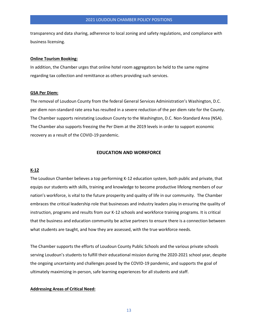transparency and data sharing, adherence to local zoning and safety regulations, and compliance with business licensing.

# **Online Tourism Booking:**

In addition, the Chamber urges that online hotel room aggregators be held to the same regime regarding tax collection and remittance as others providing such services.

# **GSA Per Diem:**

The removal of Loudoun County from the federal General Services Administration's Washington, D.C. per diem non-standard rate area has resulted in a severe reduction of the per diem rate for the County. The Chamber supports reinstating Loudoun County to the Washington, D.C. Non-Standard Area (NSA). The Chamber also supports freezing the Per Diem at the 2019 levels in order to support economic recovery as a result of the COVID-19 pandemic.

# **EDUCATION AND WORKFORCE**

## **K-12**

The Loudoun Chamber believes a top performing K-12 education system, both public and private, that equips our students with skills, training and knowledge to become productive lifelong members of our nation's workforce, is vital to the future prosperity and quality of life in our community. The Chamber embraces the critical leadership role that businesses and industry leaders play in ensuring the quality of instruction, programs and results from our K-12 schools and workforce training programs. It is critical that the business and education community be active partners to ensure there is a connection between what students are taught, and how they are assessed, with the true workforce needs.

The Chamber supports the efforts of Loudoun County Public Schools and the various private schools serving Loudoun's students to fulfill their educational mission during the 2020-2021 school year, despite the ongoing uncertainty and challenges posed by the COVID-19 pandemic, and supports the goal of ultimately maximizing in-person, safe learning experiences for all students and staff.

# **Addressing Areas of Critical Need:**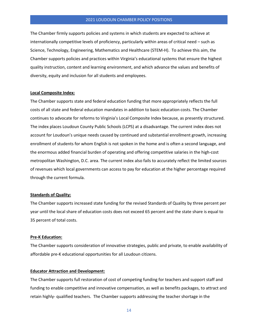The Chamber firmly supports policies and systems in which students are expected to achieve at internationally competitive levels of proficiency, particularly within areas of critical need – such as Science, Technology, Engineering, Mathematics and Healthcare (STEM-H). To achieve this aim, the Chamber supports policies and practices within Virginia's educational systems that ensure the highest quality instruction, content and learning environment, and which advance the values and benefits of diversity, equity and inclusion for all students and employees.

# **Local Composite Index:**

The Chamber supports state and federal education funding that more appropriately reflects the full costs of all state and federal education mandates in addition to basic education costs. The Chamber continues to advocate for reforms to Virginia's Local Composite Index because, as presently structured. The index places Loudoun County Public Schools (LCPS) at a disadvantage. The current index does not account for Loudoun's unique needs caused by continued and substantial enrollment growth, increasing enrollment of students for whom English is not spoken in the home and is often a second language, and the enormous added financial burden of operating and offering competitive salaries in the high-cost metropolitan Washington, D.C. area. The current index also fails to accurately reflect the limited sources of revenues which local governments can access to pay for education at the higher percentage required through the current formula.

## **Standards of Quality:**

The Chamber supports increased state funding for the revised Standards of Quality by three percent per year until the local share of education costs does not exceed 65 percent and the state share is equal to 35 percent of total costs.

#### **Pre-K Education:**

The Chamber supports consideration of innovative strategies, public and private, to enable availability of affordable pre-K educational opportunities for all Loudoun citizens.

# **Educator Attraction and Development:**

The Chamber supports full restoration of cost of competing funding for teachers and support staff and funding to enable competitive and innovative compensation, as well as benefits packages, to attract and retain highly- qualified teachers. The Chamber supports addressing the teacher shortage in the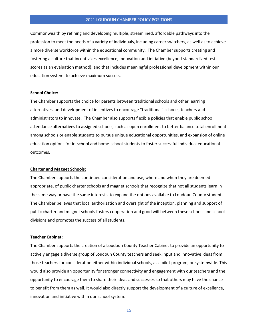Commonwealth by refining and developing multiple, streamlined, affordable pathways into the profession to meet the needs of a variety of individuals, including career switchers, as well as to achieve a more diverse workforce within the educational community. The Chamber supports creating and fostering a culture that incentivizes excellence, innovation and initiative (beyond standardized tests scores as an evaluation method), and that includes meaningful professional development within our education system, to achieve maximum success.

# **School Choice:**

The Chamber supports the choice for parents between traditional schools and other learning alternatives, and development of incentives to encourage "traditional" schools, teachers and administrators to innovate. The Chamber also supports flexible policies that enable public school attendance alternatives to assigned schools, such as open enrollment to better balance total enrollment among schools or enable students to pursue unique educational opportunities, and expansion of online education options for in-school and home-school students to foster successful individual educational outcomes.

# **Charter and Magnet Schools:**

The Chamber supports the continued consideration and use, where and when they are deemed appropriate, of public charter schools and magnet schools that recognize that not all students learn in the same way or have the same interests, to expand the options available to Loudoun County students. The Chamber believes that local authorization and oversight of the inception, planning and support of public charter and magnet schools fosters cooperation and good will between these schools and school divisions and promotes the success of all students.

#### **Teacher Cabinet:**

The Chamber supports the creation of a Loudoun County Teacher Cabinet to provide an opportunity to actively engage a diverse group of Loudoun County teachers and seek input and innovative ideas from those teachers for consideration either within individual schools, as a pilot program, or systemwide. This would also provide an opportunity for stronger connectivity and engagement with our teachers and the opportunity to encourage them to share their ideas and successes so that others may have the chance to benefit from them as well. It would also directly support the development of a culture of excellence, innovation and initiative within our school system.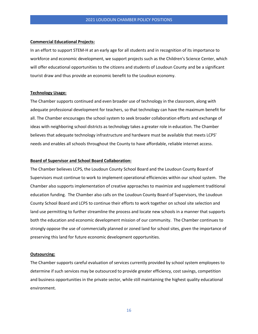#### **Commercial Educational Projects:**

In an effort to support STEM-H at an early age for all students and in recognition of its importance to workforce and economic development, we support projects such as the Children's Science Center, which will offer educational opportunities to the citizens and students of Loudoun County and be a significant tourist draw and thus provide an economic benefit to the Loudoun economy.

# **Technology Usage:**

The Chamber supports continued and even broader use of technology in the classroom, along with adequate professional development for teachers, so that technology can have the maximum benefit for all. The Chamber encourages the school system to seek broader collaboration efforts and exchange of ideas with neighboring school districts as technology takes a greater role in education. The Chamber believes that adequate technology infrastructure and hardware must be available that meets LCPS' needs and enables all schools throughout the County to have affordable, reliable internet access.

# **Board of Supervisor and School Board Collaboration:**

The Chamber believes LCPS, the Loudoun County School Board and the Loudoun County Board of Supervisors must continue to work to implement operational efficiencies within our school system. The Chamber also supports implementation of creative approaches to maximize and supplement traditional education funding. The Chamber also calls on the Loudoun County Board of Supervisors, the Loudoun County School Board and LCPS to continue their efforts to work together on school site selection and land use permitting to further streamline the process and locate new schools in a manner that supports both the education and economic development mission of our community. The Chamber continues to strongly oppose the use of commercially planned or zoned land for school sites, given the importance of preserving this land for future economic development opportunities.

#### **Outsourcing:**

The Chamber supports careful evaluation of services currently provided by school system employees to determine if such services may be outsourced to provide greater efficiency, cost savings, competition and business opportunities in the private sector, while still maintaining the highest quality educational environment.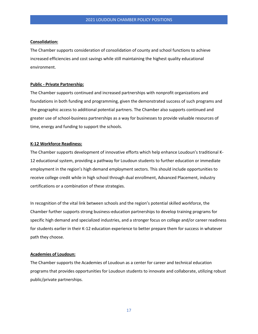# **Consolidation:**

The Chamber supports consideration of consolidation of county and school functions to achieve increased efficiencies and cost savings while still maintaining the highest quality educational environment.

## **Public - Private Partnership:**

The Chamber supports continued and increased partnerships with nonprofit organizations and foundations in both funding and programming, given the demonstrated success of such programs and the geographic access to additional potential partners. The Chamber also supports continued and greater use of school-business partnerships as a way for businesses to provide valuable resources of time, energy and funding to support the schools.

# **K-12 Workforce Readiness:**

The Chamber supports development of innovative efforts which help enhance Loudoun's traditional K-12 educational system, providing a pathway for Loudoun students to further education or immediate employment in the region's high demand employment sectors. This should include opportunities to receive college credit while in high school through dual enrollment, Advanced Placement, industry certifications or a combination of these strategies.

In recognition of the vital link between schools and the region's potential skilled workforce, the Chamber further supports strong business-education partnerships to develop training programs for specific high demand and specialized industries, and a stronger focus on college and/or career readiness for students earlier in their K-12 education experience to better prepare them for success in whatever path they choose.

# **Academies of Loudoun:**

The Chamber supports the Academies of Loudoun as a center for career and technical education programs that provides opportunities for Loudoun students to innovate and collaborate, utilizing robust public/private partnerships.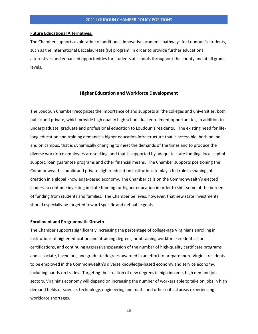#### **Future Educational Alternatives:**

The Chamber supports exploration of additional, innovative academic pathways for Loudoun's students, such as the International Baccalaureate (IB) program, in order to provide further educational alternatives and enhanced opportunities for students at schools throughout the county and at all grade levels.

# **Higher Education and Workforce Development**

The Loudoun Chamber recognizes the importance of and supports all the colleges and universities, both public and private, which provide high quality high school dual enrollment opportunities, in addition to undergraduate, graduate and professional education to Loudoun's residents. The existing need for lifelong education and training demands a higher education infrastructure that is accessible, both online and on campus, that is dynamically changing to meet the demands of the times and to produce the diverse workforce employers are seeking, and that is supported by adequate state funding, local capital support, loan guarantee programs and other financial means. The Chamber supports positioning the Commonwealth's public and private higher education institutions to play a full role in shaping job creation in a global knowledge-based economy. The Chamber calls on the Commonwealth's elected leaders to continue investing in state funding for higher education in order to shift some of the burden of funding from students and families. The Chamber believes, however, that new state investments should especially be targeted toward specific and definable goals.

## **Enrollment and Programmatic Growth**

The Chamber supports significantly increasing the percentage of college-age Virginians enrolling in institutions of higher education and attaining degrees, or obtaining workforce credentials or certifications, and continuing aggressive expansion of the number of high-quality certificate programs and associate, bachelors, and graduate degrees awarded in an effort to prepare more Virginia residents to be employed in the Commonwealth's diverse knowledge-based economy and service economy, including hands-on trades. Targeting the creation of new degrees in high income, high demand job sectors. Virginia's economy will depend on increasing the number of workers able to take on jobs in high demand fields of science, technology, engineering and math, and other critical areas experiencing workforce shortages.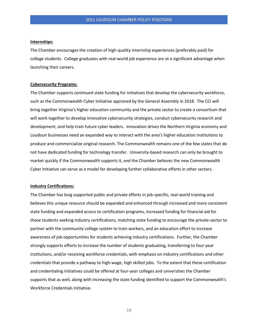# **Internships:**

The Chamber encourages the creation of high-quality internship experiences (preferably paid) for college students. College graduates with real-world job experience are at a significant advantage when launching their careers.

#### **Cybersecurity Programs:**

The Chamber supports continued state funding for initiatives that develop the cybersecurity workforce, such as the Commonwealth Cyber Initiative approved by the General Assembly in 2018. The CCI will bring together Virginia's higher education community and the private sector to create a consortium that will work together to develop innovative cybersecurity strategies, conduct cybersecurity research and development, and help train future cyber leaders. Innovation drives the Northern Virginia economy and Loudoun businesses need an expanded way to interact with the area's higher education institutions to produce and commercialize original research. The Commonwealth remains one of the few states that do not have dedicated funding for technology transfer. University-based research can only be brought to market quickly if the Commonwealth supports it, and the Chamber believes the new Commonwealth Cyber Initiative can serve as a model for developing further collaborative efforts in other sectors.

# **Industry Certifications:**

The Chamber has long supported public and private efforts in job-specific, real-world training and believes this unique resource should be expanded and enhanced through increased and more consistent state funding and expanded access to certification programs, increased funding for financial aid for those students seeking industry certifications, matching state funding to encourage the private-sector to partner with the community college system to train workers, and an education effort to increase awareness of job opportunities for students achieving industry certifications. Further, the Chamber strongly supports efforts to increase the number of students graduating, transferring to four-year institutions, and/or receiving workforce credentials, with emphasis on industry certifications and other credentials that provide a pathway to high-wage, high skilled jobs. To the extent that these certification and credentialing initiatives could be offered at four-year colleges and universities the Chamber supports that as well, along with increasing the state funding identified to support the Commonwealth's Workforce Credentials Initiative.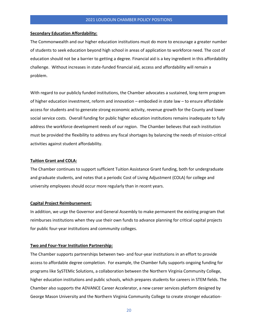#### **Secondary Education Affordability:**

The Commonwealth and our higher education institutions must do more to encourage a greater number of students to seek education beyond high school in areas of application to workforce need. The cost of education should not be a barrier to getting a degree. Financial aid is a key ingredient in this affordability challenge. Without increases in state-funded financial aid, access and affordability will remain a problem.

With regard to our publicly funded institutions, the Chamber advocates a sustained, long-term program of higher education investment, reform and innovation – embodied in state law – to ensure affordable access for students and to generate strong economic activity, revenue growth for the County and lower social service costs. Overall funding for public higher education institutions remains inadequate to fully address the workforce development needs of our region. The Chamber believes that each institution must be provided the flexibility to address any fiscal shortages by balancing the needs of mission-critical activities against student affordability.

# **Tuition Grant and COLA:**

The Chamber continues to support sufficient Tuition Assistance Grant funding, both for undergraduate and graduate students, and notes that a periodic Cost of Living Adjustment (COLA) for college and university employees should occur more regularly than in recent years.

#### **Capital Project Reimbursement:**

In addition, we urge the Governor and General Assembly to make permanent the existing program that reimburses institutions when they use their own funds to advance planning for critical capital projects for public four-year institutions and community colleges.

# **Two and Four-Year Institution Partnership:**

The Chamber supports partnerships between two- and four-year institutions in an effort to provide access to affordable degree completion. For example, the Chamber fully supports ongoing funding for programs like SySTEMic Solutions, a collaboration between the Northern Virginia Community College, higher education institutions and public schools, which prepares students for careers in STEM fields. The Chamber also supports the ADVANCE Career Accelerator, a new career services platform designed by George Mason University and the Northern Virginia Community College to create stronger education-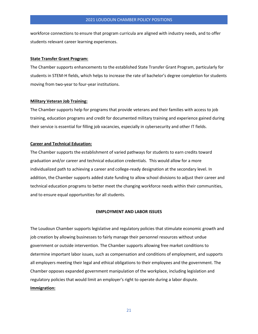workforce connections to ensure that program curricula are aligned with industry needs, and to offer students relevant career learning experiences.

#### **State Transfer Grant Program:**

The Chamber supports enhancements to the established State Transfer Grant Program, particularly for students in STEM-H fields, which helps to increase the rate of bachelor's degree completion for students moving from two-year to four-year institutions.

#### **Military Veteran Job Training:**

The Chamber supports help for programs that provide veterans and their families with access to job training, education programs and credit for documented military training and experience gained during their service is essential for filling job vacancies, especially in cybersecurity and other IT fields.

## **Career and Technical Education:**

The Chamber supports the establishment of varied pathways for students to earn credits toward graduation and/or career and technical education credentials. This would allow for a more individualized path to achieving a career and college-ready designation at the secondary level. In addition, the Chamber supports added state funding to allow school divisions to adjust their career and technical education programs to better meet the changing workforce needs within their communities, and to ensure equal opportunities for all students.

# **EMPLOYMENT AND LABOR ISSUES**

The Loudoun Chamber supports legislative and regulatory policies that stimulate economic growth and job creation by allowing businesses to fairly manage their personnel resources without undue government or outside intervention. The Chamber supports allowing free market conditions to determine important labor issues, such as compensation and conditions of employment, and supports all employers meeting their legal and ethical obligations to their employees and the government. The Chamber opposes expanded government manipulation of the workplace, including legislation and regulatory policies that would limit an employer's right to operate during a labor dispute. **Immigration:**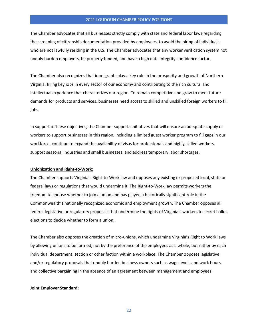The Chamber advocates that all businesses strictly comply with state and federal labor laws regarding the screening of citizenship documentation provided by employees, to avoid the hiring of individuals who are not lawfully residing in the U.S. The Chamber advocates that any worker verification system not unduly burden employers, be properly funded, and have a high data integrity confidence factor.

The Chamber also recognizes that immigrants play a key role in the prosperity and growth of Northern Virginia, filling key jobs in every sector of our economy and contributing to the rich cultural and intellectual experience that characterizes our region. To remain competitive and grow to meet future demands for products and services, businesses need access to skilled and unskilled foreign workers to fill jobs.

In support of these objectives, the Chamber supports initiatives that will ensure an adequate supply of workers to support businesses in this region, including a limited guest worker program to fill gaps in our workforce, continue to expand the availability of visas for professionals and highly skilled workers, support seasonal industries and small businesses, and address temporary labor shortages.

# **Unionization and Right-to-Work:**

The Chamber supports Virginia's Right-to-Work law and opposes any existing or proposed local, state or federal laws or regulations that would undermine it. The Right-to-Work law permits workers the freedom to choose whether to join a union and has played a historically significant role in the Commonwealth's nationally recognized economic and employment growth. The Chamber opposes all federal legislative or regulatory proposals that undermine the rights of Virginia's workers to secret ballot elections to decide whether to form a union.

The Chamber also opposes the creation of micro-unions, which undermine Virginia's Right to Work laws by allowing unions to be formed, not by the preference of the employees as a whole, but rather by each individual department, section or other faction within a workplace. The Chamber opposes legislative and/or regulatory proposals that unduly burden business owners such as wage levels and work hours, and collective bargaining in the absence of an agreement between management and employees.

# **Joint Employer Standard:**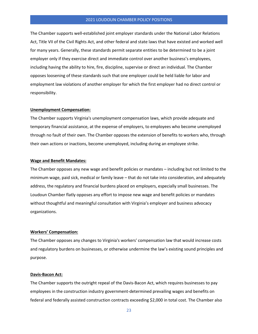The Chamber supports well-established joint employer standards under the National Labor Relations Act, Title VII of the Civil Rights Act, and other federal and state laws that have existed and worked well for many years. Generally, these standards permit separate entities to be determined to be a joint employer only if they exercise direct and immediate control over another business's employees, including having the ability to hire, fire, discipline, supervise or direct an individual. The Chamber opposes loosening of these standards such that one employer could be held liable for labor and employment law violations of another employer for which the first employer had no direct control or responsibility.

# **Unemployment Compensation:**

The Chamber supports Virginia's unemployment compensation laws, which provide adequate and temporary financial assistance, at the expense of employers, to employees who become unemployed through no fault of their own. The Chamber opposes the extension of benefits to workers who, through their own actions or inactions, become unemployed, including during an employee strike.

# **Wage and Benefit Mandates:**

The Chamber opposes any new wage and benefit policies or mandates – including but not limited to the minimum wage, paid sick, medical or family leave – that do not take into consideration, and adequately address, the regulatory and financial burdens placed on employers, especially small businesses. The Loudoun Chamber flatly opposes any effort to impose new wage and benefit policies or mandates without thoughtful and meaningful consultation with Virginia's employer and business advocacy organizations.

# **Workers' Compensation:**

The Chamber opposes any changes to Virginia's workers' compensation law that would increase costs and regulatory burdens on businesses, or otherwise undermine the law's existing sound principles and purpose.

#### **Davis-Bacon Act:**

The Chamber supports the outright repeal of the Davis-Bacon Act, which requires businesses to pay employees in the construction industry government-determined prevailing wages and benefits on federal and federally assisted construction contracts exceeding \$2,000 in total cost. The Chamber also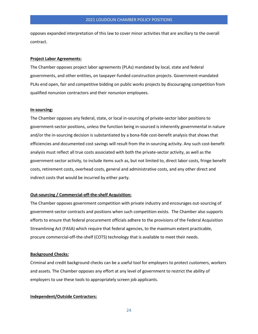opposes expanded interpretation of this law to cover minor activities that are ancillary to the overall contract.

#### **Project Labor Agreements:**

The Chamber opposes project labor agreements (PLAs) mandated by local, state and federal governments, and other entities, on taxpayer-funded construction projects. Government-mandated PLAs end open, fair and competitive bidding on public works projects by discouraging competition from qualified nonunion contractors and their nonunion employees.

## **In-sourcing:**

The Chamber opposes any federal, state, or local in-sourcing of private-sector labor positions to government-sector positions, unless the function being in-sourced is inherently governmental in nature and/or the in-sourcing decision is substantiated by a bona-fide cost-benefit analysis that shows that efficiencies and documented cost savings will result from the in-sourcing activity. Any such cost-benefit analysis must reflect all true costs associated with both the private-sector activity, as well as the government-sector activity, to include items such as, but not limited to, direct labor costs, fringe benefit costs, retirement costs, overhead costs, general and administrative costs, and any other direct and indirect costs that would be incurred by either party.

# **Out-sourcing / Commercial-off-the-shelf Acquisition:**

The Chamber opposes government competition with private industry and encourages out-sourcing of government-sector contracts and positions when such competition exists. The Chamber also supports efforts to ensure that federal procurement officials adhere to the provisions of the Federal Acquisition Streamlining Act (FASA) which require that federal agencies, to the maximum extent practicable, procure commercial-off-the-shelf (COTS) technology that is available to meet their needs.

#### **Background Checks:**

Criminal and credit background checks can be a useful tool for employers to protect customers, workers and assets. The Chamber opposes any effort at any level of government to restrict the ability of employers to use these tools to appropriately screen job applicants.

# **Independent/Outside Contractors:**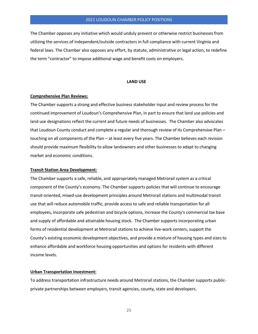The Chamber opposes any initiative which would unduly prevent or otherwise restrict businesses from utilizing the services of independent/outside contractors in full compliance with current Virginia and federal laws. The Chamber also opposes any effort, by statute, administrative or legal action, to redefine the term "contractor" to impose additional wage and benefit costs on employers.

#### **LAND USE**

# **Comprehensive Plan Reviews:**

The Chamber supports a strong and effective business stakeholder input and review process for the continued improvement of Loudoun's Comprehensive Plan, in part to ensure that land use policies and land use designations reflect the current and future needs of businesses. The Chamber also advocates that Loudoun County conduct and complete a regular and thorough review of its Comprehensive Plan – touching on all components of the Plan – at least every five years. The Chamber believes each revision should provide maximum flexibility to allow landowners and other businesses to adapt to changing market and economic conditions.

# **Transit Station Area Development:**

The Chamber supports a safe, reliable, and appropriately managed Metrorail system as a critical component of the County's economy. The Chamber supports policies that will continue to encourage transit-oriented, mixed-use development principles around Metrorail stations and multimodal transit use that will reduce automobile traffic, provide access to safe and reliable transportation for all employees, incorporate safe pedestrian and bicycle options, increase the County's commercial tax base and supply of affordable and attainable housing stock. The Chamber supports incorporating urban forms of residential development at Metrorail stations to achieve live-work centers, support the County's existing economic development objectives, and provide a mixture of housing types and sizes to enhance affordable and workforce housing opportunities and options for residents with different income levels.

## **Urban Transportation Investment:**

To address transportation infrastructure needs around Metrorail stations, the Chamber supports publicprivate partnerships between employers, transit agencies, county, state and developers.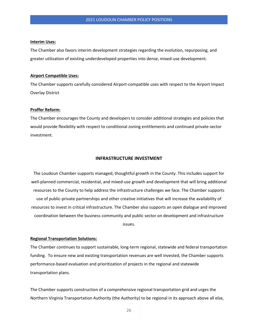#### **Interim Uses:**

The Chamber also favors interim development strategies regarding the evolution, repurposing, and greater utilization of existing underdeveloped properties into dense, mixed-use development.

## **Airport Compatible Uses:**

The Chamber supports carefully considered Airport-compatible uses with respect to the Airport Impact Overlay District

# **Proffer Reform:**

The Chamber encourages the County and developers to consider additional strategies and policies that would provide flexibility with respect to conditional zoning entitlements and continued private-sector investment.

## **INFRASTRUCTURE INVESTMENT**

The Loudoun Chamber supports managed, thoughtful growth in the County. This includes support for well-planned commercial, residential, and mixed-use growth and development that will bring additional resources to the County to help address the infrastructure challenges we face. The Chamber supports use of public-private partnerships and other creative initiatives that will increase the availability of resources to invest in critical infrastructure. The Chamber also supports an open dialogue and improved coordination between the business community and public sector on development and infrastructure issues.

# **Regional Transportation Solutions:**

The Chamber continues to support sustainable, long-term regional, statewide and federal transportation funding. To ensure new and existing transportation revenues are well invested, the Chamber supports performance-based evaluation and prioritization of projects in the regional and statewide transportation plans.

The Chamber supports construction of a comprehensive regional transportation grid and urges the Northern Virginia Transportation Authority (the Authority) to be regional in its approach above all else,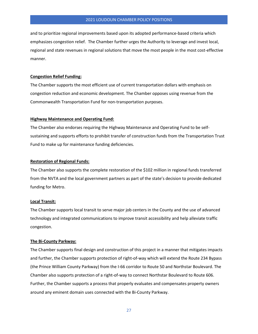and to prioritize regional improvements based upon its adopted performance-based criteria which emphasizes congestion relief. The Chamber further urges the Authority to leverage and invest local, regional and state revenues in regional solutions that move the most people in the most cost-effective manner.

# **Congestion Relief Funding:**

The Chamber supports the most efficient use of current transportation dollars with emphasis on congestion reduction and economic development. The Chamber opposes using revenue from the Commonwealth Transportation Fund for non-transportation purposes.

# **Highway Maintenance and Operating Fund:**

The Chamber also endorses requiring the Highway Maintenance and Operating Fund to be selfsustaining and supports efforts to prohibit transfer of construction funds from the Transportation Trust Fund to make up for maintenance funding deficiencies.

#### **Restoration of Regional Funds:**

The Chamber also supports the complete restoration of the \$102 million in regional funds transferred from the NVTA and the local government partners as part of the state's decision to provide dedicated funding for Metro.

#### **Local Transit:**

The Chamber supports local transit to serve major job centers in the County and the use of advanced technology and integrated communications to improve transit accessibility and help alleviate traffic congestion.

#### **The Bi-County Parkway:**

The Chamber supports final design and construction of this project in a manner that mitigates impacts and further, the Chamber supports protection of right-of-way which will extend the Route 234 Bypass (the Prince William County Parkway) from the I-66 corridor to Route 50 and Northstar Boulevard. The Chamber also supports protection of a right-of-way to connect Northstar Boulevard to Route 606. Further, the Chamber supports a process that properly evaluates and compensates property owners around any eminent domain uses connected with the Bi-County Parkway.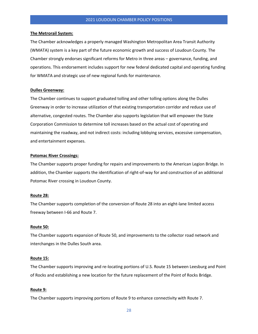#### **The Metrorail System:**

The Chamber acknowledges a properly managed Washington Metropolitan Area Transit Authority (WMATA) system is a key part of the future economic growth and success of Loudoun County. The Chamber strongly endorses significant reforms for Metro in three areas – governance, funding, and operations. This endorsement includes support for new federal dedicated capital and operating funding for WMATA and strategic use of new regional funds for maintenance.

# **Dulles Greenway:**

The Chamber continues to support graduated tolling and other tolling options along the Dulles Greenway in order to increase utilization of that existing transportation corridor and reduce use of alternative, congested routes. The Chamber also supports legislation that will empower the State Corporation Commission to determine toll increases based on the actual cost of operating and maintaining the roadway, and not indirect costs: including lobbying services, excessive compensation, and entertainment expenses.

#### **Potomac River Crossings:**

The Chamber supports proper funding for repairs and improvements to the American Legion Bridge. In addition, the Chamber supports the identification of right-of-way for and construction of an additional Potomac River crossing in Loudoun County.

#### **Route 28:**

The Chamber supports completion of the conversion of Route 28 into an eight-lane limited access freeway between I-66 and Route 7.

#### **Route 50:**

The Chamber supports expansion of Route 50, and improvements to the collector road network and interchanges in the Dulles South area.

#### **Route 15:**

The Chamber supports improving and re-locating portions of U.S. Route 15 between Leesburg and Point of Rocks and establishing a new location for the future replacement of the Point of Rocks Bridge.

#### **Route 9:**

The Chamber supports improving portions of Route 9 to enhance connectivity with Route 7.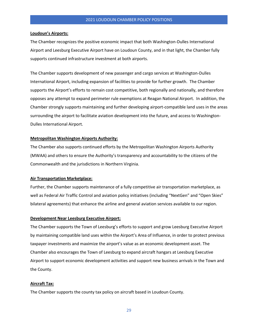## **Loudoun's Airports:**

The Chamber recognizes the positive economic impact that both Washington-Dulles International Airport and Leesburg Executive Airport have on Loudoun County, and in that light, the Chamber fully supports continued infrastructure investment at both airports.

The Chamber supports development of new passenger and cargo services at Washington-Dulles International Airport, including expansion of facilities to provide for further growth. The Chamber supports the Airport's efforts to remain cost competitive, both regionally and nationally, and therefore opposes any attempt to expand perimeter rule exemptions at Reagan National Airport. In addition, the Chamber strongly supports maintaining and further developing airport-compatible land uses in the areas surrounding the airport to facilitate aviation development into the future, and access to Washington-Dulles International Airport.

# **Metropolitan Washington Airports Authority:**

The Chamber also supports continued efforts by the Metropolitan Washington Airports Authority (MWAA) and others to ensure the Authority's transparency and accountability to the citizens of the Commonwealth and the jurisdictions in Northern Virginia.

# **Air Transportation Marketplace:**

Further, the Chamber supports maintenance of a fully competitive air transportation marketplace, as well as Federal Air Traffic Control and aviation policy initiatives (including "NextGen" and "Open Skies" bilateral agreements) that enhance the airline and general aviation services available to our region.

# **Development Near Leesburg Executive Airport:**

The Chamber supports the Town of Leesburg's efforts to support and grow Leesburg Executive Airport by maintaining compatible land uses within the Airport's Area of Influence, in order to protect previous taxpayer investments and maximize the airport's value as an economic development asset. The Chamber also encourages the Town of Leesburg to expand aircraft hangars at Leesburg Executive Airport to support economic development activities and support new business arrivals in the Town and the County.

## **Aircraft Tax:**

The Chamber supports the county tax policy on aircraft based in Loudoun County.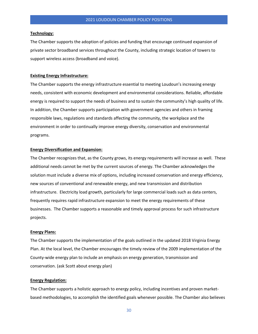## **Technology:**

The Chamber supports the adoption of policies and funding that encourage continued expansion of private sector broadband services throughout the County, including strategic location of towers to support wireless access (broadband and voice).

#### **Existing Energy Infrastructure:**

The Chamber supports the energy infrastructure essential to meeting Loudoun's increasing energy needs, consistent with economic development and environmental considerations. Reliable, affordable energy is required to support the needs of business and to sustain the community's high quality of life. In addition, the Chamber supports participation with government agencies and others in framing responsible laws, regulations and standards affecting the community, the workplace and the environment in order to continually improve energy diversity, conservation and environmental programs.

#### **Energy Diversification and Expansion:**

The Chamber recognizes that, as the County grows, its energy requirements will increase as well. These additional needs cannot be met by the current sources of energy. The Chamber acknowledges the solution must include a diverse mix of options, including increased conservation and energy efficiency, new sources of conventional and renewable energy, and new transmission and distribution infrastructure. Electricity load growth, particularly for large commercial loads such as data centers, frequently requires rapid infrastructure expansion to meet the energy requirements of these businesses. The Chamber supports a reasonable and timely approval process for such infrastructure projects.

## **Energy Plans:**

The Chamber supports the implementation of the goals outlined in the updated 2018 Virginia Energy Plan. At the local level, the Chamber encourages the timely review of the 2009 implementation of the County-wide energy plan to include an emphasis on energy generation, transmission and conservation. (ask Scott about energy plan)

## **Energy Regulation:**

The Chamber supports a holistic approach to energy policy, including incentives and proven marketbased methodologies, to accomplish the identified goals whenever possible. The Chamber also believes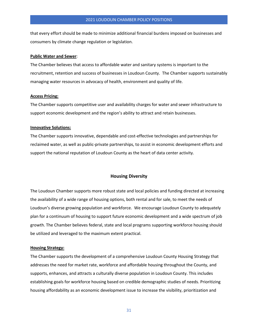that every effort should be made to minimize additional financial burdens imposed on businesses and consumers by climate change regulation or legislation.

#### **Public Water and Sewer**:

The Chamber believes that access to affordable water and sanitary systems is important to the recruitment, retention and success of businesses in Loudoun County. The Chamber supports sustainably managing water resources in advocacy of health, environment and quality of life.

# **Access Pricing:**

The Chamber supports competitive user and availability charges for water and sewer infrastructure to support economic development and the region's ability to attract and retain businesses.

# **Innovative Solutions:**

The Chamber supports innovative, dependable and cost-effective technologies and partnerships for reclaimed water, as well as public-private partnerships, to assist in economic development efforts and support the national reputation of Loudoun County as the heart of data center activity.

# **Housing Diversity**

The Loudoun Chamber supports more robust state and local policies and funding directed at increasing the availability of a wide range of housing options, both rental and for sale, to meet the needs of Loudoun's diverse growing population and workforce. We encourage Loudoun County to adequately plan for a continuum of housing to support future economic development and a wide spectrum of job growth. The Chamber believes federal, state and local programs supporting workforce housing should be utilized and leveraged to the maximum extent practical.

#### **Housing Strategy:**

The Chamber supports the development of a comprehensive Loudoun County Housing Strategy that addresses the need for market rate, workforce and affordable housing throughout the County, and supports, enhances, and attracts a culturally diverse population in Loudoun County. This includes establishing goals for workforce housing based on credible demographic studies of needs. Prioritizing housing affordability as an economic development issue to increase the visibility, prioritization and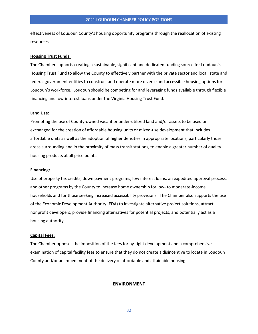effectiveness of Loudoun County's housing opportunity programs through the reallocation of existing resources.

## **Housing Trust Funds:**

The Chamber supports creating a sustainable, significant and dedicated funding source for Loudoun's Housing Trust Fund to allow the County to effectively partner with the private sector and local, state and federal government entities to construct and operate more diverse and accessible housing options for Loudoun's workforce. Loudoun should be competing for and leveraging funds available through flexible financing and low-interest loans under the Virginia Housing Trust Fund.

#### **Land Use:**

Promoting the use of County-owned vacant or under-utilized land and/or assets to be used or exchanged for the creation of affordable housing units or mixed-use development that includes affordable units as well as the adoption of higher densities in appropriate locations, particularly those areas surrounding and in the proximity of mass transit stations, to enable a greater number of quality housing products at all price points.

#### **Financing:**

Use of property tax credits, down payment programs, low interest loans, an expedited approval process, and other programs by the County to increase home ownership for low- to moderate-income households and for those seeking increased accessibility provisions. The Chamber also supports the use of the Economic Development Authority (EDA) to investigate alternative project solutions, attract nonprofit developers, provide financing alternatives for potential projects, and potentially act as a housing authority.

# **Capital Fees:**

The Chamber opposes the imposition of the fees for by-right development and a comprehensive examination of capital facility fees to ensure that they do not create a disincentive to locate in Loudoun County and/or an impediment of the delivery of affordable and attainable housing.

## **ENVIRONMENT**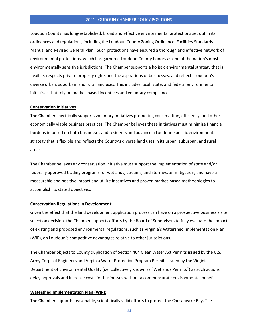Loudoun County has long-established, broad and effective environmental protections set out in its ordinances and regulations, including the Loudoun County Zoning Ordinance, Facilities Standards Manual and Revised General Plan. Such protections have ensured a thorough and effective network of environmental protections, which has garnered Loudoun County honors as one of the nation's most environmentally sensitive jurisdictions. The Chamber supports a holistic environmental strategy that is flexible, respects private property rights and the aspirations of businesses, and reflects Loudoun's diverse urban, suburban, and rural land uses. This includes local, state, and federal environmental initiatives that rely on market-based incentives and voluntary compliance.

## **Conservation Initiatives**

The Chamber specifically supports voluntary initiatives promoting conservation, efficiency, and other economically viable business practices. The Chamber believes these initiatives must minimize financial burdens imposed on both businesses and residents and advance a Loudoun-specific environmental strategy that is flexible and reflects the County's diverse land uses in its urban, suburban, and rural areas.

The Chamber believes any conservation initiative must support the implementation of state and/or federally approved trading programs for wetlands, streams, and stormwater mitigation, and have a measurable and positive impact and utilize incentives and proven market-based methodologies to accomplish its stated objectives.

# **Conservation Regulations in Development:**

Given the effect that the land development application process can have on a prospective business's site selection decision, the Chamber supports efforts by the Board of Supervisors to fully evaluate the impact of existing and proposed environmental regulations, such as Virginia's Watershed Implementation Plan (WIP), on Loudoun's competitive advantages relative to other jurisdictions.

The Chamber objects to County duplication of Section 404 Clean Water Act Permits issued by the U.S. Army Corps of Engineers and Virginia Water Protection Program Permits issued by the Virginia Department of Environmental Quality (i.e. collectively known as "Wetlands Permits") as such actions delay approvals and increase costs for businesses without a commensurate environmental benefit.

#### **Watershed Implementation Plan (WIP):**

The Chamber supports reasonable, scientifically valid efforts to protect the Chesapeake Bay. The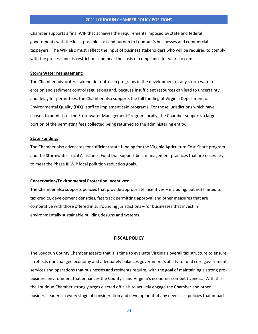Chamber supports a final WIP that achieves the requirements imposed by state and federal governments with the least possible cost and burden to Loudoun's businesses and commercial taxpayers. The WIP also must reflect the input of business stakeholders who will be required to comply with the process and its restrictions and bear the costs of compliance for years to come.

## **Storm Water Management:**

The Chamber advocates stakeholder outreach programs in the development of any storm water or erosion and sediment control regulations and, because insufficient resources can lead to uncertainty and delay for permittees, the Chamber also supports the full funding of Virginia Department of Environmental Quality (DEQ) staff to implement said programs. For those jurisdictions which have chosen to administer the Stormwater Management Program locally, the Chamber supports a larger portion of the permitting fees collected being returned to the administering entity.

# **State Funding:**

The Chamber also advocates for sufficient state funding for the Virginia Agriculture Cost-Share program and the Stormwater Local Assistance Fund that support best management practices that are necessary to meet the Phase III WIP local pollution reduction goals.

# **Conservation/Environmental Protection Incentives:**

The Chamber also supports policies that provide appropriate incentives – including, but not limited to, tax credits, development densities, fast track permitting approval and other measures that are competitive with those offered in surrounding jurisdictions – for businesses that invest in environmentally sustainable building designs and systems.

## **FISCAL POLICY**

The Loudoun County Chamber asserts that it is time to evaluate Virginia's overall tax structure to ensure it reflects our changed economy and adequately balances government's ability to fund core government services and operations that businesses and residents require, with the goal of maintaining a strong probusiness environment that enhances the County's and Virginia's economic competitiveness. With this, the Loudoun Chamber strongly urges elected officials to actively engage the Chamber and other business leaders in every stage of consideration and development of any new fiscal policies that impact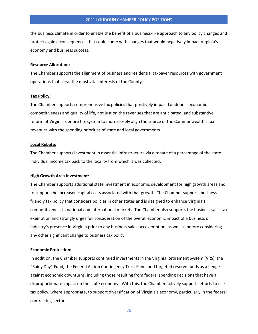the business climate in order to enable the benefit of a business-like approach to any policy changes and protect against consequences that could come with changes that would negatively impact Virginia's economy and business success.

# **Resource Allocation:**

The Chamber supports the alignment of business and residential taxpayer resources with government operations that serve the most vital interests of the County.

# **Tax Policy:**

The Chamber supports comprehensive tax policies that positively impact Loudoun's economic competitiveness and quality of life, not just on the revenues that are anticipated, and substantive reform of Virginia's entire tax system to more closely align the source of the Commonwealth's tax revenues with the spending priorities of state and local governments.

## **Local Rebate:**

The Chamber supports investment in essential infrastructure via a rebate of a percentage of the state individual income tax back to the locality from which it was collected.

# **High Growth Area Investment**:

The Chamber supports additional state investment in economic development for high growth areas and to support the increased capital costs associated with that growth. The Chamber supports businessfriendly tax policy that considers policies in other states and is designed to enhance Virginia's competitiveness in national and international markets. The Chamber also supports the business sales tax exemption and strongly urges full consideration of the overall economic impact of a business or industry's presence in Virginia prior to any business sales tax exemption, as well as before considering any other significant change to business tax policy.

#### **Economic Protection:**

In addition, the Chamber supports continued investments in the Virginia Retirement System (VRS), the "Rainy Day" Fund, the Federal Action Contingency Trust Fund, and targeted reserve funds as a hedge against economic downturns, including those resulting from federal spending decisions that have a disproportionate impact on the state economy. With this, the Chamber actively supports efforts to use tax policy, where appropriate, to support diversification of Virginia's economy, particularly in the federal contracting sector.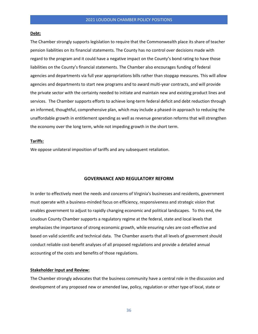#### **Debt:**

The Chamber strongly supports legislation to require that the Commonwealth place its share of teacher pension liabilities on its financial statements. The County has no control over decisions made with regard to the program and it could have a negative impact on the County's bond rating to have those liabilities on the County's financial statements. The Chamber also encourages funding of federal agencies and departments via full year appropriations bills rather than stopgap measures. This will allow agencies and departments to start new programs and to award multi-year contracts, and will provide the private sector with the certainty needed to initiate and maintain new and existing product lines and services. The Chamber supports efforts to achieve long-term federal deficit and debt reduction through an informed, thoughtful, comprehensive plan, which may include a phased-in approach to reducing the unaffordable growth in entitlement spending as well as revenue generation reforms that will strengthen the economy over the long term, while not impeding growth in the short term.

#### **Tariffs:**

We oppose unilateral imposition of tariffs and any subsequent retaliation.

# **GOVERNANCE AND REGULATORY REFORM**

In order to effectively meet the needs and concerns of Virginia's businesses and residents, government must operate with a business-minded focus on efficiency, responsiveness and strategic vision that enables government to adjust to rapidly changing economic and political landscapes. To this end, the Loudoun County Chamber supports a regulatory regime at the federal, state and local levels that emphasizes the importance of strong economic growth, while ensuring rules are cost-effective and based on valid scientific and technical data. The Chamber asserts that all levels of government should conduct reliable cost-benefit analyses of all proposed regulations and provide a detailed annual accounting of the costs and benefits of those regulations.

# **Stakeholder Input and Review:**

The Chamber strongly advocates that the business community have a central role in the discussion and development of any proposed new or amended law, policy, regulation or other type of local, state or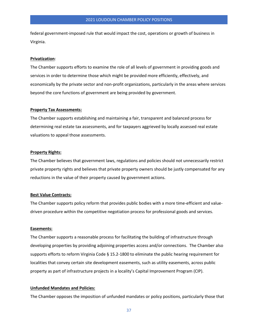federal government-imposed rule that would impact the cost, operations or growth of business in Virginia.

#### **Privatization**:

The Chamber supports efforts to examine the role of all levels of government in providing goods and services in order to determine those which might be provided more efficiently, effectively, and economically by the private sector and non-profit organizations, particularly in the areas where services beyond the core functions of government are being provided by government.

## **Property Tax Assessments:**

The Chamber supports establishing and maintaining a fair, transparent and balanced process for determining real estate tax assessments, and for taxpayers aggrieved by locally assessed real estate valuations to appeal those assessments.

#### **Property Rights:**

The Chamber believes that government laws, regulations and policies should not unnecessarily restrict private property rights and believes that private property owners should be justly compensated for any reductions in the value of their property caused by government actions.

## **Best Value Contracts:**

The Chamber supports policy reform that provides public bodies with a more time-efficient and valuedriven procedure within the competitive negotiation process for professional goods and services.

## **Easements:**

The Chamber supports a reasonable process for facilitating the building of infrastructure through developing properties by providing adjoining properties access and/or connections. The Chamber also supports efforts to reform Virginia Code § 15.2-1800 to eliminate the public hearing requirement for localities that convey certain site development easements, such as utility easements, across public property as part of infrastructure projects in a locality's Capital Improvement Program (CIP).

# **Unfunded Mandates and Policies:**

The Chamber opposes the imposition of unfunded mandates or policy positions, particularly those that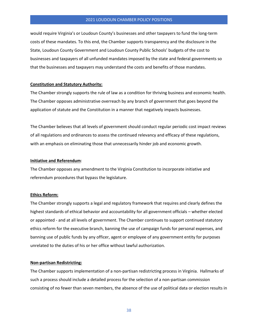would require Virginia's or Loudoun County's businesses and other taxpayers to fund the long-term costs of these mandates. To this end, the Chamber supports transparency and the disclosure in the State, Loudoun County Government and Loudoun County Public Schools' budgets of the cost to businesses and taxpayers of all unfunded mandates imposed by the state and federal governments so that the businesses and taxpayers may understand the costs and benefits of those mandates.

#### **Constitution and Statutory Authority:**

The Chamber strongly supports the rule of law as a condition for thriving business and economic health. The Chamber opposes administrative overreach by any branch of government that goes beyond the application of statute and the Constitution in a manner that negatively impacts businesses.

The Chamber believes that all levels of government should conduct regular periodic cost impact reviews of all regulations and ordinances to assess the continued relevancy and efficacy of these regulations, with an emphasis on eliminating those that unnecessarily hinder job and economic growth.

# **Initiative and Referendum**:

The Chamber opposes any amendment to the Virginia Constitution to incorporate initiative and referendum procedures that bypass the legislature.

#### **Ethics Reform:**

The Chamber strongly supports a legal and regulatory framework that requires and clearly defines the highest standards of ethical behavior and accountability for all government officials – whether elected or appointed - and at all levels of government. The Chamber continues to support continued statutory ethics reform for the executive branch, banning the use of campaign funds for personal expenses, and banning use of public funds by any officer, agent or employee of any government entity for purposes unrelated to the duties of his or her office without lawful authorization.

#### **Non-partisan Redistricting:**

The Chamber supports implementation of a non-partisan redistricting process in Virginia. Hallmarks of such a process should include a detailed process for the selection of a non-partisan commission consisting of no fewer than seven members, the absence of the use of political data or election results in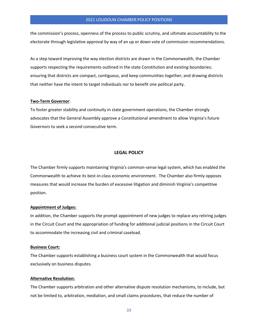the commission's process, openness of the process to public scrutiny, and ultimate accountability to the electorate through legislative approval by way of an up or down vote of commission recommendations.

As a step toward improving the way election districts are drawn in the Commonwealth, the Chamber supports respecting the requirements outlined in the state Constitution and existing boundaries; ensuring that districts are compact, contiguous, and keep communities together; and drawing districts that neither have the intent to target individuals nor to benefit one political party.

#### **Two-Term Governor**:

To foster greater stability and continuity in state government operations, the Chamber strongly advocates that the General Assembly approve a Constitutional amendment to allow Virginia's future Governors to seek a second consecutive term.

# **LEGAL POLICY**

The Chamber firmly supports maintaining Virginia's common-sense legal system, which has enabled the Commonwealth to achieve its best-in-class economic environment. The Chamber also firmly opposes measures that would increase the burden of excessive litigation and diminish Virginia's competitive position.

#### **Appointment of Judges:**

In addition, the Chamber supports the prompt appointment of new judges to replace any retiring judges in the Circuit Court and the appropriation of funding for additional judicial positions in the Circuit Court to accommodate the increasing civil and criminal caseload.

## **Business Court:**

The Chamber supports establishing a business court system in the Commonwealth that would focus exclusively on business disputes.

# **Alternative Resolution:**

The Chamber supports arbitration and other alternative dispute resolution mechanisms, to include, but not be limited to, arbitration, mediation, and small claims procedures, that reduce the number of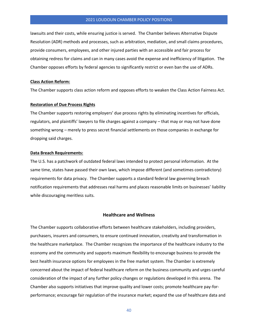lawsuits and their costs, while ensuring justice is served. The Chamber believes Alternative Dispute Resolution (ADR) methods and processes, such as arbitration, mediation, and small claims procedures, provide consumers, employees, and other injured parties with an accessible and fair process for obtaining redress for claims and can in many cases avoid the expense and inefficiency of litigation. The Chamber opposes efforts by federal agencies to significantly restrict or even ban the use of ADRs.

# **Class Action Reform:**

The Chamber supports class action reform and opposes efforts to weaken the Class Action Fairness Act.

#### **Restoration of Due Process Rights**

The Chamber supports restoring employers' due process rights by eliminating incentives for officials, regulators, and plaintiffs' lawyers to file charges against a company – that may or may not have done something wrong – merely to press secret financial settlements on those companies in exchange for dropping said charges.

# **Data Breach Requirements:**

The U.S. has a patchwork of outdated federal laws intended to protect personal information. At the same time, states have passed their own laws, which impose different (and sometimes contradictory) requirements for data privacy. The Chamber supports a standard federal law governing breach notification requirements that addresses real harms and places reasonable limits on businesses' liability while discouraging meritless suits.

#### **Healthcare and Wellness**

The Chamber supports collaborative efforts between healthcare stakeholders, including providers, purchasers, insurers and consumers, to ensure continued innovation, creativity and transformation in the healthcare marketplace. The Chamber recognizes the importance of the healthcare industry to the economy and the community and supports maximum flexibility to encourage business to provide the best health insurance options for employees in the free market system. The Chamber is extremely concerned about the impact of federal healthcare reform on the business community and urges careful consideration of the impact of any further policy changes or regulations developed in this arena. The Chamber also supports initiatives that improve quality and lower costs; promote healthcare pay-forperformance; encourage fair regulation of the insurance market; expand the use of healthcare data and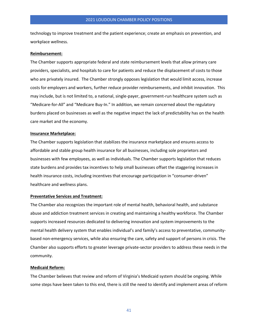technology to improve treatment and the patient experience; create an emphasis on prevention, and workplace wellness.

# **Reimbursement:**

The Chamber supports appropriate federal and state reimbursement levels that allow primary care providers, specialists, and hospitals to care for patients and reduce the displacement of costs to those who are privately insured. The Chamber strongly opposes legislation that would limit access, increase costs for employers and workers, further reduce provider reimbursements, and inhibit innovation. This may include, but is not limited to, a national, single-payer, government-run healthcare system such as "Medicare-for-All" and "Medicare Buy-In." In addition, we remain concerned about the regulatory burdens placed on businesses as well as the negative impact the lack of predictability has on the health care market and the economy.

#### **Insurance Marketplace:**

The Chamber supports legislation that stabilizes the insurance marketplace and ensures access to affordable and stable group health insurance for all businesses, including sole proprietors and businesses with few employees, as well as individuals. The Chamber supports legislation that reduces state burdens and provides tax incentives to help small businesses offset the staggering increases in health insurance costs, including incentives that encourage participation in "consumer-driven" healthcare and wellness plans.

#### **Preventative Services and Treatment:**

The Chamber also recognizes the important role of mental health, behavioral health, and substance abuse and addiction treatment services in creating and maintaining a healthy workforce. The Chamber supports increased resources dedicated to delivering innovation and system improvements to the mental health delivery system that enables individual's and family's access to preventative, communitybased non-emergency services, while also ensuring the care, safety and support of persons in crisis. The Chamber also supports efforts to greater leverage private-sector providers to address these needs in the community.

## **Medicaid Reform:**

The Chamber believes that review and reform of Virginia's Medicaid system should be ongoing. While some steps have been taken to this end, there is still the need to identify and implement areas of reform